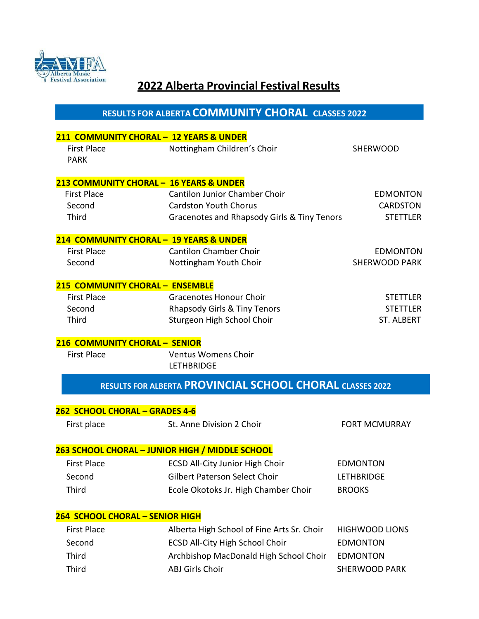

# **2022 Alberta Provincial Festival Results**

**RESULTS FOR ALBERTA COMMUNITY CHORAL CLASSES 2022**

|                                         | 211 COMMUNITY CHORAL - 12 YEARS & UNDER                               |                                    |
|-----------------------------------------|-----------------------------------------------------------------------|------------------------------------|
| <b>First Place</b><br><b>PARK</b>       | Nottingham Children's Choir                                           | <b>SHERWOOD</b>                    |
| 213 COMMUNITY CHORAL - 16 YEARS & UNDER |                                                                       |                                    |
| <b>First Place</b>                      | <b>Cantilon Junior Chamber Choir</b>                                  | <b>EDMONTON</b>                    |
| Second                                  | <b>Cardston Youth Chorus</b>                                          | <b>CARDSTON</b>                    |
| Third                                   | Gracenotes and Rhapsody Girls & Tiny Tenors                           | <b>STETTLER</b>                    |
| 214 COMMUNITY CHORAL - 19 YEARS & UNDER |                                                                       |                                    |
| <b>First Place</b>                      | <b>Cantilon Chamber Choir</b>                                         | <b>EDMONTON</b>                    |
| Second                                  | Nottingham Youth Choir                                                | <b>SHERWOOD PARK</b>               |
| 215 COMMUNITY CHORAL - ENSEMBLE         |                                                                       |                                    |
| <b>First Place</b>                      | <b>Gracenotes Honour Choir</b>                                        | <b>STETTLER</b>                    |
| Second                                  | Rhapsody Girls & Tiny Tenors                                          | <b>STETTLER</b>                    |
| Third                                   | Sturgeon High School Choir                                            | <b>ST. ALBERT</b>                  |
| 216 COMMUNITY CHORAL - SENIOR           |                                                                       |                                    |
| <b>First Place</b>                      | <b>Ventus Womens Choir</b><br><b>LETHBRIDGE</b>                       |                                    |
|                                         |                                                                       |                                    |
|                                         | RESULTS FOR ALBERTA PROVINCIAL SCHOOL CHORAL CLASSES 2022             |                                    |
| 262 SCHOOL CHORAL - GRADES 4-6          |                                                                       |                                    |
| First place                             | St. Anne Division 2 Choir                                             | <b>FORT MCMURRAY</b>               |
|                                         | 263 SCHOOL CHORAL - JUNIOR HIGH / MIDDLE SCHOOL                       |                                    |
| <b>First Place</b>                      |                                                                       | <b>EDMONTON</b>                    |
|                                         | <b>ECSD All-City Junior High Choir</b>                                |                                    |
| Second<br><b>Third</b>                  | Gilbert Paterson Select Choir<br>Ecole Okotoks Jr. High Chamber Choir | <b>LETHBRIDGE</b><br><b>BROOKS</b> |
|                                         |                                                                       |                                    |
| <b>264 SCHOOL CHORAL - SENIOR HIGH</b>  |                                                                       |                                    |
| <b>First Place</b>                      | Alberta High School of Fine Arts Sr. Choir                            | <b>HIGHWOOD LIONS</b>              |
| Second                                  | <b>ECSD All-City High School Choir</b>                                | <b>EDMONTON</b>                    |
| Third                                   | Archbishop MacDonald High School Choir                                | <b>EDMONTON</b>                    |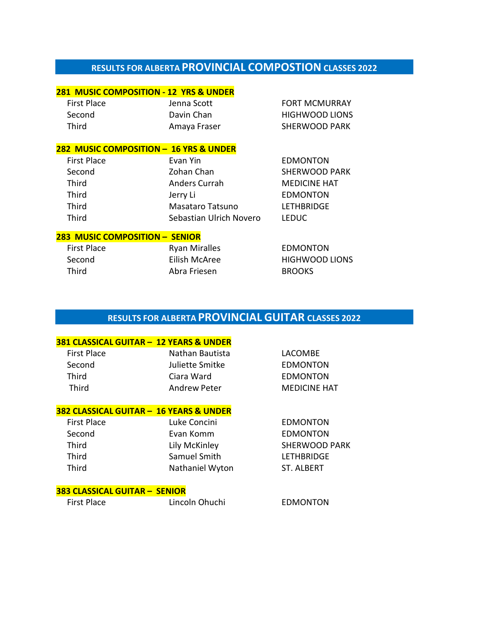# **RESULTS FOR ALBERTA PROVINCIAL COMPOSTION CLASSES 2022**

## **281 MUSIC COMPOSITION - 12 YRS & UNDER**

| First Place | Jenna Scott  | <b>FORT MCMURRAY</b>  |
|-------------|--------------|-----------------------|
| Second      | Davin Chan   | <b>HIGHWOOD LIONS</b> |
| Third       | Amaya Fraser | <b>SHERWOOD PARK</b>  |

### **282 MUSIC COMPOSITION – 16 YRS & UNDER**

| <b>First Place</b> | Evan Yin                | <b>EDMONTON</b>      |
|--------------------|-------------------------|----------------------|
| Second             | Zohan Chan              | <b>SHERWOOD PARK</b> |
| Third              | Anders Currah           | <b>MEDICINE HAT</b>  |
| Third              | Jerry Li                | <b>EDMONTON</b>      |
| Third              | <b>Masataro Tatsuno</b> | <b>LETHBRIDGE</b>    |
| Third              | Sebastian Ulrich Novero | <b>LEDUC</b>         |

### **283 MUSIC COMPOSITION – SENIOR**

| First Place | <b>Ryan Miralles</b> | <b>EDMONTON</b>       |
|-------------|----------------------|-----------------------|
| Second      | Eilish McAree        | <b>HIGHWOOD LIONS</b> |
| Third       | Abra Friesen         | <b>BROOKS</b>         |

# **RESULTS FOR ALBERTA PROVINCIAL GUITAR CLASSES 2022**

# **381 CLASSICAL GUITAR – 12 YEARS & UNDER** First Place **Nathan Bautista** CACOMBE Second Juliette Smitke EDMONTON Third Ciara Ward EDMONTON Third **Andrew Peter** MEDICINE HAT

### **382 CLASSICAL GUITAR – 16 YEARS & UNDER**

| <b>First Place</b> | Luke Concini    | <b>EDMONTON</b>      |
|--------------------|-----------------|----------------------|
| Second             | Evan Komm       | <b>EDMONTON</b>      |
| Third              | Lily McKinley   | <b>SHERWOOD PARK</b> |
| Third              | Samuel Smith    | LETHBRIDGE           |
| Third              | Nathaniel Wyton | ST. ALBERT           |

## **383 CLASSICAL GUITAR – SENIOR**

| First Place | Lincoln Ohuchi | <b>EDMONTON</b> |
|-------------|----------------|-----------------|
|             |                |                 |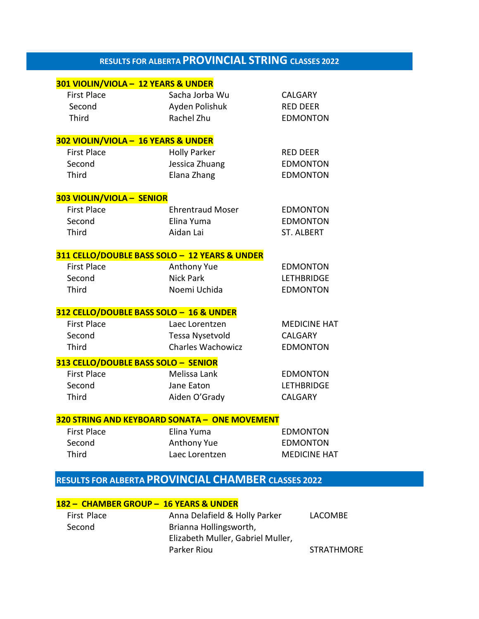# **RESULTS FOR ALBERTA PROVINCIAL STRING CLASSES <sup>2022</sup>**

| 301 VIOLIN/VIOLA - 12 YEARS & UNDER |                                               |                     |
|-------------------------------------|-----------------------------------------------|---------------------|
| <b>First Place</b>                  | Sacha Jorba Wu                                | CALGARY             |
| Second                              | Ayden Polishuk                                | <b>RED DEER</b>     |
| <b>Third</b>                        | Rachel Zhu                                    | <b>EDMONTON</b>     |
|                                     |                                               |                     |
| 302 VIOLIN/VIOLA - 16 YEARS & UNDER |                                               |                     |
| <b>First Place</b>                  | <b>Holly Parker</b>                           | <b>RED DEER</b>     |
| Second                              | Jessica Zhuang                                | <b>EDMONTON</b>     |
| <b>Third</b>                        | Elana Zhang                                   | <b>EDMONTON</b>     |
|                                     |                                               |                     |
| 303 VIOLIN/VIOLA - SENIOR           |                                               |                     |
| <b>First Place</b>                  | <b>Ehrentraud Moser</b>                       | <b>EDMONTON</b>     |
| Second                              | Elina Yuma                                    | <b>EDMONTON</b>     |
| <b>Third</b>                        | Aidan Lai                                     | <b>ST. ALBERT</b>   |
|                                     |                                               |                     |
|                                     | 311 CELLO/DOUBLE BASS SOLO - 12 YEARS & UNDER |                     |
| <b>First Place</b>                  | Anthony Yue                                   | <b>EDMONTON</b>     |
| Second                              | <b>Nick Park</b>                              | <b>LETHBRIDGE</b>   |
| <b>Third</b>                        | Noemi Uchida                                  | <b>EDMONTON</b>     |
|                                     |                                               |                     |
|                                     | 312 CELLO/DOUBLE BASS SOLO - 16 & UNDER       |                     |
| <b>First Place</b>                  | Laec Lorentzen                                | <b>MEDICINE HAT</b> |
| Second                              | Tessa Nysetvold                               | <b>CALGARY</b>      |
| <b>Third</b>                        | <b>Charles Wachowicz</b>                      | <b>EDMONTON</b>     |
|                                     | 313 CELLO/DOUBLE BASS SOLO - SENIOR           |                     |
| <b>First Place</b>                  | Melissa Lank                                  | <b>EDMONTON</b>     |
| Second                              | Jane Eaton                                    | <b>LETHBRIDGE</b>   |
| <b>Third</b>                        | Aiden O'Grady                                 | <b>CALGARY</b>      |
|                                     |                                               |                     |
|                                     | 320 STRING AND KEYBOARD SONATA - ONE MOVEMENT |                     |
| <b>First Place</b>                  | Elina Yuma                                    | <b>EDMONTON</b>     |
| Second                              | Anthony Yue                                   | <b>EDMONTON</b>     |
| <b>Third</b>                        | Laec Lorentzen                                | <b>MEDICINE HAT</b> |
|                                     |                                               |                     |

# **RESULTS FOR ALBERTA PROVINCIAL CHAMBER CLASSES 2022**

|             | 182 - CHAMBER GROUP - 16 YEARS & UNDER |                   |
|-------------|----------------------------------------|-------------------|
| First Place | Anna Delafield & Holly Parker          | LACOMBE           |
| Second      | Brianna Hollingsworth,                 |                   |
|             | Elizabeth Muller, Gabriel Muller,      |                   |
|             | Parker Riou                            | <b>STRATHMORE</b> |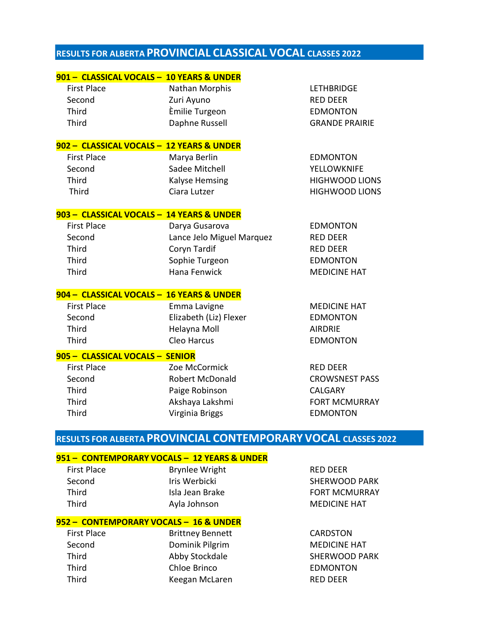# **RESULTS FOR ALBERTA PROVINCIAL CLASSICAL VOCAL CLASSES 2022**

| 901 - CLASSICAL VOCALS - 10 YEARS & UNDER |                           |                       |
|-------------------------------------------|---------------------------|-----------------------|
| <b>First Place</b>                        | Nathan Morphis            | <b>LETHBRIDGE</b>     |
| Second                                    | Zuri Ayuno                | <b>RED DEER</b>       |
| Third                                     | Èmilie Turgeon            | <b>EDMONTON</b>       |
| <b>Third</b>                              | Daphne Russell            | <b>GRANDE PRAIRIE</b> |
| 902 - CLASSICAL VOCALS - 12 YEARS & UNDER |                           |                       |
| <b>First Place</b>                        | Marya Berlin              | <b>EDMONTON</b>       |
| Second                                    | Sadee Mitchell            | <b>YELLOWKNIFE</b>    |
| <b>Third</b>                              | <b>Kalyse Hemsing</b>     | <b>HIGHWOOD LIONS</b> |
| <b>Third</b>                              | Ciara Lutzer              | <b>HIGHWOOD LIONS</b> |
| 903 - CLASSICAL VOCALS - 14 YEARS & UNDER |                           |                       |
| <b>First Place</b>                        | Darya Gusarova            | <b>EDMONTON</b>       |
| Second                                    | Lance Jelo Miguel Marquez | <b>RED DEER</b>       |
| <b>Third</b>                              | Coryn Tardif              | <b>RED DEER</b>       |
| <b>Third</b>                              | Sophie Turgeon            | <b>EDMONTON</b>       |
| Third                                     | Hana Fenwick              | <b>MEDICINE HAT</b>   |
| 904 - CLASSICAL VOCALS - 16 YEARS & UNDER |                           |                       |
| <b>First Place</b>                        | Emma Lavigne              | <b>MEDICINE HAT</b>   |
| Second                                    | Elizabeth (Liz) Flexer    | <b>EDMONTON</b>       |
| <b>Third</b>                              | Helayna Moll              | <b>AIRDRIE</b>        |
| <b>Third</b>                              | Cleo Harcus               | <b>EDMONTON</b>       |
| 905 - CLASSICAL VOCALS - SENIOR           |                           |                       |
| <b>First Place</b>                        | Zoe McCormick             | <b>RED DEER</b>       |
| Second                                    | <b>Robert McDonald</b>    | <b>CROWSNEST PASS</b> |
| <b>Third</b>                              | Paige Robinson            | <b>CALGARY</b>        |
| Third                                     | Akshaya Lakshmi           | <b>FORT MCMURRAY</b>  |
| <b>Third</b>                              | Virginia Briggs           | <b>EDMONTON</b>       |

# **RESULTS FOR ALBERTA PROVINCIAL CONTEMPORARY VOCAL CLASSES 2022**

## **951 – CONTEMPORARY VOCALS – 12 YEARS & UNDER**

First Place **Brynlee Wright** RED DEER Third Ayla Johnson MEDICINE HAT

### **952 – CONTEMPORARY VOCALS – 16 & UNDER**

First Place Second Third Third Third Brittney Bennett Dominik Pilgrim Abby Stockdale Chloe Brinco Keegan McLaren

Second **Iris Werbicki** International SHERWOOD PARK Third **Isla Jean Brake Islam Brake** FORT MCMURRAY

> CARDSTON MEDICINE HAT SHERWOOD PARK EDMONTON RED DEER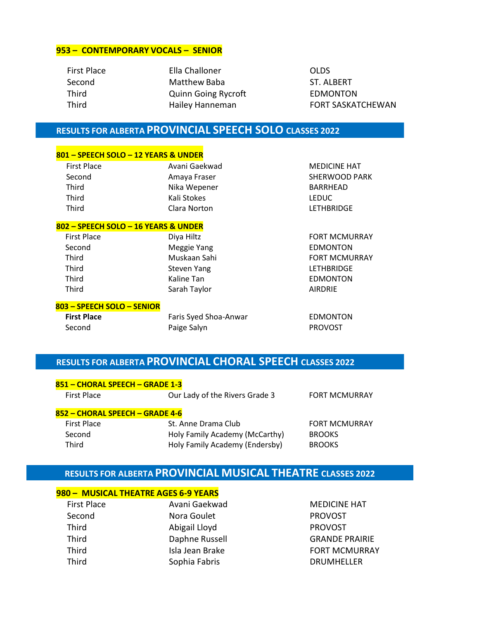#### **953 – CONTEMPORARY VOCALS – SENIOR**

| <b>First Place</b> | Ella Challoner             | <b>OLDS</b>              |
|--------------------|----------------------------|--------------------------|
| Second             | Matthew Baba               | ST. ALBERT               |
| Third              | <b>Quinn Going Rycroft</b> | <b>EDMONTON</b>          |
| Third              | Hailey Hanneman            | <b>FORT SASKATCHEWAN</b> |
|                    |                            |                          |

# **RESULTS FOR ALBERTA PROVINCIAL SPEECH SOLO CLASSES 2022**

### **801 – SPEECH SOLO – 12 YEARS & UNDER**

| <b>First Place</b> | Avani Gaekwad | <b>MEDIC</b> |
|--------------------|---------------|--------------|
| Second             | Amaya Fraser  | <b>SHERW</b> |
| Third              | Nika Wepener  | <b>BARRH</b> |
| Third              | Kali Stokes   | LEDUC        |
| Third              | Clara Norton  | <b>LETHB</b> |
|                    |               |              |

#### **802 – SPEECH SOLO – 16 YEARS & UNDER**

| <b>First Place</b> | Diya Hiltz   | <b>FORT M</b>  |
|--------------------|--------------|----------------|
| Second             | Meggie Yang  | <b>EDMON</b>   |
| Third              | Muskaan Sahi | <b>FORT M</b>  |
| Third              | Steven Yang  | LETHBRI        |
| <b>Third</b>       | Kaline Tan   | EDMON          |
| <b>Third</b>       | Sarah Taylor | <b>AIRDRIE</b> |
|                    |              |                |

#### **803 – SPEECH SOLO – SENIOR**

| <b>First Place</b> | Faris Syed Shoa-Anwar | EDMONTON       |
|--------------------|-----------------------|----------------|
| Second             | Paige Salyn           | <b>PROVOST</b> |

# **MEDICINE HAT** SHERWOOD PARK BARRHEAD LETHBRIDGE

FORT MCMURRAY **EDMONTON** FORT MCMURRAY LETHBRIDGE **EDMONTON** 

# **RESULTS FOR ALBERTA PROVINCIAL CHORAL SPEECH CLASSES 2022**

| <u>851 – CHORAL SPEECH – GRADE 1-3</u> |                                |                      |
|----------------------------------------|--------------------------------|----------------------|
| First Place                            | Our Lady of the Rivers Grade 3 | <b>FORT MCMURRAY</b> |

### **852 – CHORAL SPEECH – GRADE 4-6**

| First Place | St. Anne Drama Club            | <b>FORT MCMURRAY</b> |
|-------------|--------------------------------|----------------------|
| Second      | Holy Family Academy (McCarthy) | <b>BROOKS</b>        |
| Third       | Holy Family Academy (Endersby) | <b>BROOKS</b>        |

# **RESULTS FOR ALBERTA PROVINCIAL MUSICAL THEATRE CLASSES 2022**

# **980 – MUSICAL THEATRE AGES 6-9 YEARS**

| First Place | Avani Gaekwad   | MEDICINE       |
|-------------|-----------------|----------------|
| Second      | Nora Goulet     | <b>PROVOST</b> |
| Third       | Abigail Lloyd   | <b>PROVOST</b> |
| Third       | Daphne Russell  | <b>GRANDE</b>  |
| Third       | Isla Jean Brake | <b>FORT MC</b> |
| Third       | Sophia Fabris   | <b>DRUMHE</b>  |

d Gaekwad MEDICINE HAT PROVOST I GRANDE PRAIRIE FORT MCMURRAY DRUMHELLER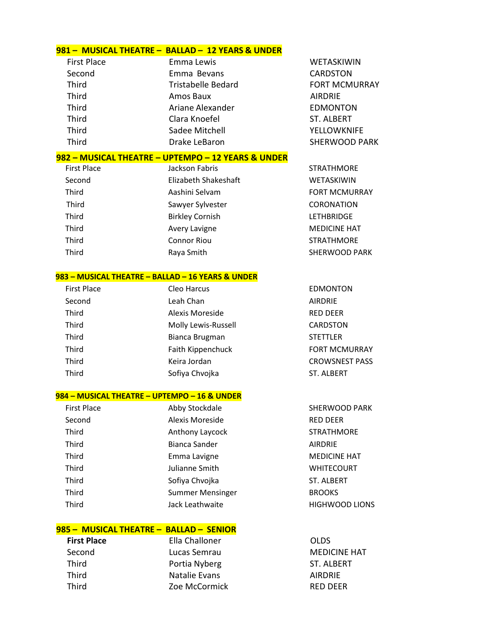### **981 – MUSICAL THEATRE – BALLAD – 12 YEARS & UNDER**

| <b>First Place</b> | Emma Lewis                | WETASKIWIN           |
|--------------------|---------------------------|----------------------|
| Second             | Emma Bevans               | <b>CARDSTON</b>      |
| Third              | <b>Tristabelle Bedard</b> | <b>FORT MCMURRAY</b> |
| Third              | Amos Baux                 | <b>AIRDRIE</b>       |
| Third              | Ariane Alexander          | <b>EDMONTON</b>      |
| Third              | Clara Knoefel             | <b>ST. ALBERT</b>    |
| Third              | Sadee Mitchell            | <b>YELLOWKNIFE</b>   |
| Third              | Drake LeBaron             | <b>SHERWOOD PARK</b> |

#### **982 – MUSICAL THEATRE – UPTEMPO – 12 YEARS & UNDER**

| <b>First Place</b> | Jackson Fabris         | <b>STRATHMORE</b>    |
|--------------------|------------------------|----------------------|
| Second             | Elizabeth Shakeshaft   | WETASKIWIN           |
| <b>Third</b>       | Aashini Selvam         | <b>FORT MCMURRAY</b> |
| Third              | Sawyer Sylvester       | <b>CORONATION</b>    |
| <b>Third</b>       | <b>Birkley Cornish</b> | <b>LETHBRIDGE</b>    |
| Third              | Avery Lavigne          | <b>MEDICINE HAT</b>  |
| Third              | <b>Connor Riou</b>     | <b>STRATHMORE</b>    |
| Third              | Raya Smith             | <b>SHERWOOD PARK</b> |
|                    |                        |                      |

#### **983 – MUSICAL THEATRE – BALLAD – 16 YEARS & UNDER**

| <b>First Place</b> | Cleo Harcus         | <b>EDMONTON</b>       |
|--------------------|---------------------|-----------------------|
| Second             | Leah Chan           | <b>AIRDRIE</b>        |
| Third              | Alexis Moreside     | <b>RED DEER</b>       |
| Third              | Molly Lewis-Russell | CARDSTON              |
| Third              | Bianca Brugman      | <b>STETTLER</b>       |
| Third              | Faith Kippenchuck   | <b>FORT MCMURRAY</b>  |
| Third              | Keira Jordan        | <b>CROWSNEST PASS</b> |
| Third              | Sofiya Chvojka      | <b>ST. ALBERT</b>     |
|                    |                     |                       |

### **984 – MUSICAL THEATRE – UPTEMPO – 16 & UNDER**

| <b>First Place</b> | Abby Stockdale          | SHERWOOD P.         |
|--------------------|-------------------------|---------------------|
| Second             | Alexis Moreside         | <b>RED DEER</b>     |
| Third              | Anthony Laycock         | <b>STRATHMORE</b>   |
| Third              | Bianca Sander           | <b>AIRDRIE</b>      |
| Third              | Emma Lavigne            | <b>MEDICINE HAT</b> |
| Third              | Julianne Smith          | <b>WHITECOURT</b>   |
| Third              | Sofiya Chvojka          | <b>ST. ALBERT</b>   |
| Third              | <b>Summer Mensinger</b> | <b>BROOKS</b>       |
| Third              | Jack Leathwaite         | <b>HIGHWOOD LI</b>  |
|                    |                         |                     |

## **985 – MUSICAL THEATRE – BALLAD – SENIOR**

**First Place** Ella Challoner **CLDS** Second Lucas Semrau MEDICINE HAT Third **Portia Nyberg** ST. ALBERT Third Natalie Evans AIRDRIE Third **Zoe McCormick RED DEER** 

RWOOD PARK DICINE HAT **IITECOURT HWOOD LIONS**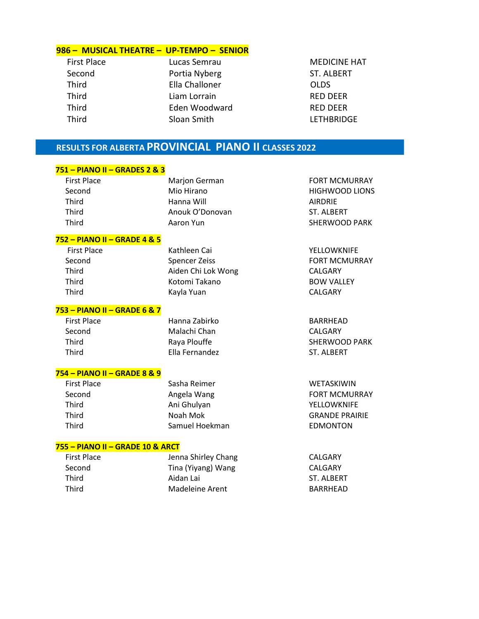### **986 – MUSICAL THEATRE – UP-TEMPO – SENIOR**

| <b>First Place</b> | Lucas Semrau   | MEDI         |
|--------------------|----------------|--------------|
| Second             | Portia Nyberg  | ST. AI       |
| <b>Third</b>       | Ella Challoner | <b>OLDS</b>  |
| <b>Third</b>       | Liam Lorrain   | <b>RED D</b> |
| <b>Third</b>       | Eden Woodward  | RED I        |
| <b>Third</b>       | Sloan Smith    | LETHI        |

**MEDICINE HAT** ST. ALBERT RED DEER Third Eden RED DEER LETHBRIDGE

# **RESULTS FOR ALBERTA PROVINCIAL PIANO II CLASSES 2022**

## **751 – PIANO II – GRADES 2 & 3**

| <b>First Place</b> | <b>Marjon German</b> | <b>FORT MCMURRAY</b>  |
|--------------------|----------------------|-----------------------|
| Second             | Mio Hirano           | <b>HIGHWOOD LIONS</b> |
| Third              | Hanna Will           | <b>AIRDRIE</b>        |
| Third              | Anouk O'Donovan      | ST. ALBERT            |
| Third              | Aaron Yun            | SHERWOOD PARK         |
|                    |                      |                       |

#### **752 – PIANO II – GRADE 4 & 5**

| First Place | Kathleen Cai       | YELLOWKNIFE          |
|-------------|--------------------|----------------------|
| Second      | Spencer Zeiss      | <b>FORT MCMURRAY</b> |
| Third       | Aiden Chi Lok Wong | CALGARY              |
| Third       | Kotomi Takano      | <b>BOW VALLEY</b>    |
| Third       | Kayla Yuan         | CALGARY              |
|             |                    |                      |

#### **753 – PIANO II – GRADE 6 & 7**

Second Malachi Chan CALGARY Third Ella Fernandez ST. ALBERT

First Place Hanna Zabirko BARRHEAD

## **754 – PIANO II – GRADE 8 & 9**

| <b>First Place</b> | Sasha Reimer   | <b>WETASKIWIN</b>     |
|--------------------|----------------|-----------------------|
| Second             | Angela Wang    | <b>FORT MCMURRA</b>   |
| Third              | Ani Ghulyan    | <b>YELLOWKNIFE</b>    |
| Third              | Noah Mok       | <b>GRANDE PRAIRIE</b> |
| Third              | Samuel Hoekman | <b>EDMONTON</b>       |
|                    |                |                       |

### **755 – PIANO II – GRADE 10 & ARCT**

| <b>First Place</b> | Jenna Shirley Chang | CALGARY    |
|--------------------|---------------------|------------|
| Second             | Tina (Yiyang) Wang  | CALGARY    |
| Third              | Aidan Lai           | ST. ALBERT |
| Third              | Madeleine Arent     | BARRHEAD   |
|                    |                     |            |

Third **Example 2 Raya Plouffer SHERWOOD PARK** SHERWOOD PARK

**MCMURRAY**